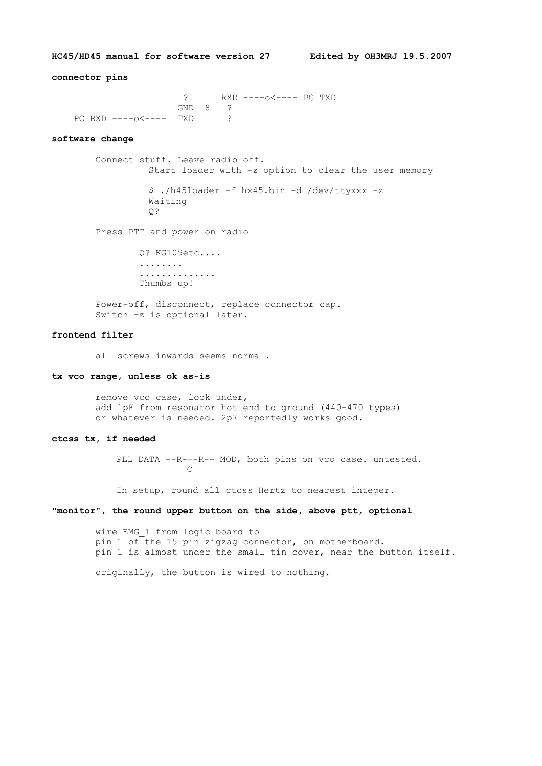**HC45/HD45 manual for software version 27 Edited by OH3MRJ 19.5.2007**

# **connector pins**

 ? RXD ----o<---- PC TXD GND 8 ? PC RXD ----o<---- TXD ?

#### **software change**

 Connect stuff. Leave radio off. Start loader with -z option to clear the user memory \$ ./h45loader -f hx45.bin -d /dev/ttyxxx -z

> Waiting Q?

Press PTT and power on radio

 Q? KG109etc.... ........ .............. Thumbs up!

 Power-off, disconnect, replace connector cap. Switch -z is optional later.

## **frontend filter**

all screws inwards seems normal.

#### **tx vco range, unless ok as-is**

 remove vco case, look under, add 1pF from resonator hot end to ground (440-470 types) or whatever is needed. 2p7 reportedly works good.

### **ctcss tx, if needed**

PLL DATA --R-+-R-- MOD, both pins on vco case. untested.  $C_{-}$ 

In setup, round all ctcss Hertz to nearest integer.

### **"monitor", the round upper button on the side, above ptt, optional**

 wire EMG\_1 from logic board to pin 1 of the 15 pin zigzag connector, on motherboard. pin 1 is almost under the small tin cover, near the button itself.

originally, the button is wired to nothing.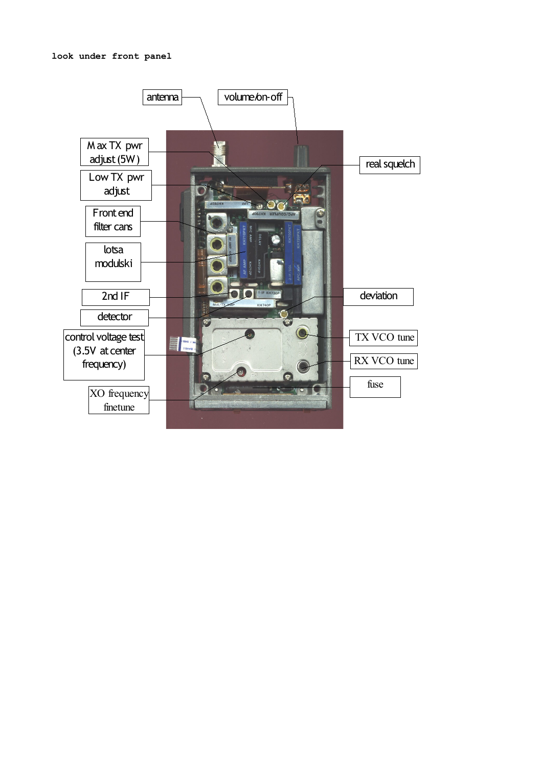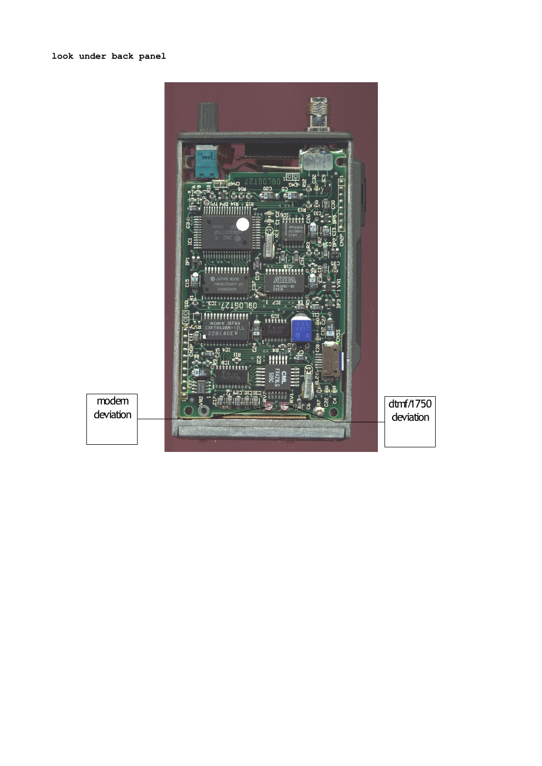